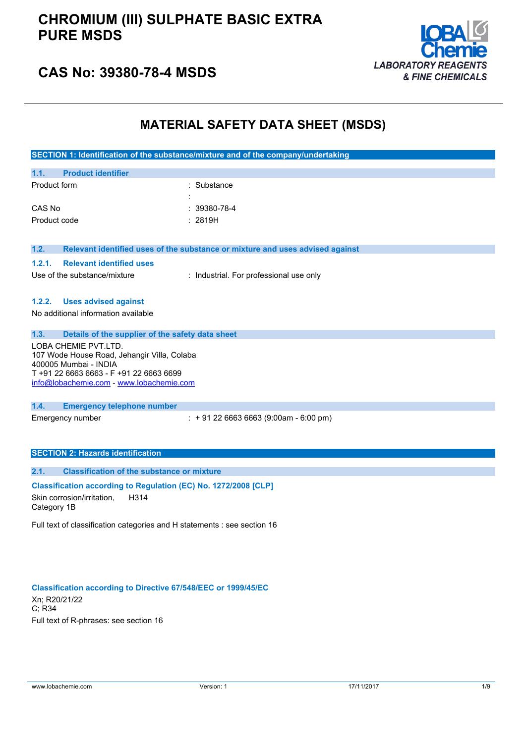

## **CAS No: 39380-78-4 MSDS**

## **MATERIAL SAFETY DATA SHEET (MSDS)**

|                                                                                                                                                                                   | SECTION 1: Identification of the substance/mixture and of the company/undertaking |  |  |
|-----------------------------------------------------------------------------------------------------------------------------------------------------------------------------------|-----------------------------------------------------------------------------------|--|--|
| <b>Product identifier</b><br>1.1.                                                                                                                                                 |                                                                                   |  |  |
| Product form                                                                                                                                                                      | Substance                                                                         |  |  |
| CAS No                                                                                                                                                                            | 39380-78-4                                                                        |  |  |
| Product code                                                                                                                                                                      | : 2819H                                                                           |  |  |
| 1.2.                                                                                                                                                                              | Relevant identified uses of the substance or mixture and uses advised against     |  |  |
| 1.2.1.<br><b>Relevant identified uses</b>                                                                                                                                         |                                                                                   |  |  |
| Use of the substance/mixture                                                                                                                                                      | : Industrial. For professional use only                                           |  |  |
| 1.2.2.<br><b>Uses advised against</b><br>No additional information available                                                                                                      |                                                                                   |  |  |
| 1.3.<br>Details of the supplier of the safety data sheet                                                                                                                          |                                                                                   |  |  |
| LOBA CHEMIE PVT.LTD.<br>107 Wode House Road, Jehangir Villa, Colaba<br>400005 Mumbai - INDIA<br>T+91 22 6663 6663 - F+91 22 6663 6699<br>info@lobachemie.com - www.lobachemie.com |                                                                                   |  |  |
| 1.4.<br><b>Emergency telephone number</b>                                                                                                                                         |                                                                                   |  |  |
| Emergency number                                                                                                                                                                  | $: +912266636663(9:00am - 6:00 pm)$                                               |  |  |
| <b>SECTION 2: Hazards identification</b>                                                                                                                                          |                                                                                   |  |  |
| <b>Classification of the substance or mixture</b><br>2.1.                                                                                                                         |                                                                                   |  |  |
| Classification according to Regulation (EC) No. 1272/2008 [CLP]<br>Skin corrosion/irritation,<br>H314<br>Category 1B                                                              |                                                                                   |  |  |
| Full text of classification categories and H statements : see section 16                                                                                                          |                                                                                   |  |  |

### **Classification according to Directive 67/548/EEC or 1999/45/EC** Xn; R20/21/22 C; R34 Full text of R-phrases: see section 16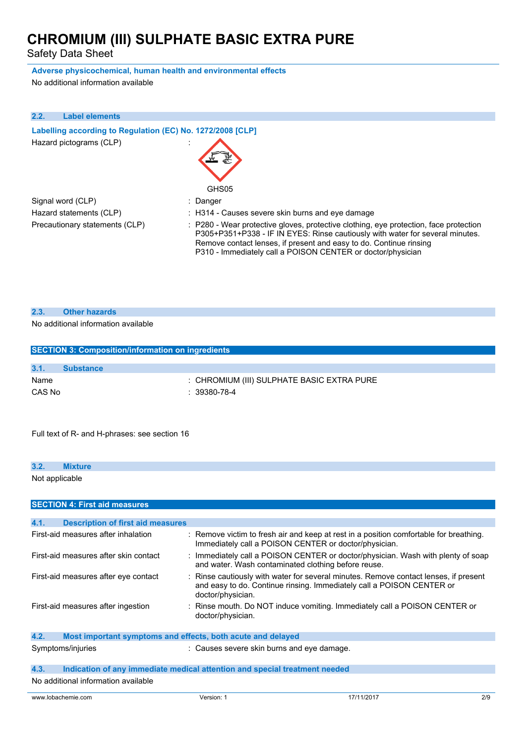Safety Data Sheet

### **Adverse physicochemical, human health and environmental effects**

No additional information available

| 2.2. | <b>Label elements</b>                                      |                                                                                                                                                                                                                                                                                                             |  |  |  |
|------|------------------------------------------------------------|-------------------------------------------------------------------------------------------------------------------------------------------------------------------------------------------------------------------------------------------------------------------------------------------------------------|--|--|--|
|      | Labelling according to Regulation (EC) No. 1272/2008 [CLP] |                                                                                                                                                                                                                                                                                                             |  |  |  |
|      | Hazard pictograms (CLP)                                    | GHS05                                                                                                                                                                                                                                                                                                       |  |  |  |
|      | Signal word (CLP)                                          | : Danger                                                                                                                                                                                                                                                                                                    |  |  |  |
|      | Hazard statements (CLP)                                    | : H314 - Causes severe skin burns and eve damage                                                                                                                                                                                                                                                            |  |  |  |
|      | Precautionary statements (CLP)                             | : P280 - Wear protective gloves, protective clothing, eye protection, face protection<br>P305+P351+P338 - IF IN EYES: Rinse cautiously with water for several minutes.<br>Remove contact lenses, if present and easy to do. Continue rinsing<br>P310 - Immediately call a POISON CENTER or doctor/physician |  |  |  |

## **2.3. Other hazards**

## No additional information available

| <b>SECTION 3: Composition/information on ingredients</b> |                  |                                            |  |
|----------------------------------------------------------|------------------|--------------------------------------------|--|
|                                                          |                  |                                            |  |
| 3.1.                                                     | <b>Substance</b> |                                            |  |
| Name                                                     |                  | : CHROMIUM (III) SULPHATE BASIC EXTRA PURE |  |
| CAS No                                                   |                  | $: 39380 - 78 - 4$                         |  |
|                                                          |                  |                                            |  |

Full text of R- and H-phrases: see section 16

| 3.2.                                | <b>Mixture</b>                       |
|-------------------------------------|--------------------------------------|
| Not applicable                      |                                      |
|                                     | <b>SECTION 4: First aid measures</b> |
| the contract of the contract of the | _________<br>______                  |

| <b>Description of first aid measures</b><br>4.1.                    |                                                                                                                                                                                    |
|---------------------------------------------------------------------|------------------------------------------------------------------------------------------------------------------------------------------------------------------------------------|
| First-aid measures after inhalation                                 | : Remove victim to fresh air and keep at rest in a position comfortable for breathing.<br>Immediately call a POISON CENTER or doctor/physician.                                    |
| First-aid measures after skin contact                               | : Immediately call a POISON CENTER or doctor/physician. Wash with plenty of soap<br>and water. Wash contaminated clothing before reuse.                                            |
| First-aid measures after eye contact                                | : Rinse cautiously with water for several minutes. Remove contact lenses, if present<br>and easy to do. Continue rinsing. Immediately call a POISON CENTER or<br>doctor/physician. |
| First-aid measures after ingestion                                  | : Rinse mouth. Do NOT induce vomiting. Immediately call a POISON CENTER or<br>doctor/physician.                                                                                    |
| 4.2.<br>Most important symptoms and effects, both acute and delayed |                                                                                                                                                                                    |
| Symptoms/injuries                                                   | : Causes severe skin burns and eye damage.                                                                                                                                         |
| 4.3.                                                                | Indication of any immediate medical attention and special treatment needed                                                                                                         |
| No additional information available                                 |                                                                                                                                                                                    |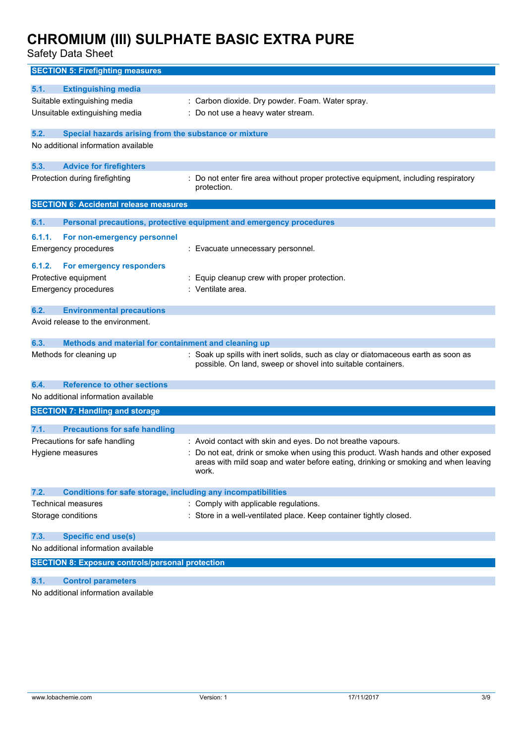| <b>SECTION 5: Firefighting measures</b>                                     |                                                                                                    |
|-----------------------------------------------------------------------------|----------------------------------------------------------------------------------------------------|
| 5.1.<br><b>Extinguishing media</b>                                          |                                                                                                    |
| Suitable extinguishing media                                                | : Carbon dioxide. Dry powder. Foam. Water spray.                                                   |
| Unsuitable extinguishing media                                              | : Do not use a heavy water stream.                                                                 |
|                                                                             |                                                                                                    |
| 5.2.<br>Special hazards arising from the substance or mixture               |                                                                                                    |
| No additional information available                                         |                                                                                                    |
| 5.3.<br><b>Advice for firefighters</b>                                      |                                                                                                    |
| Protection during firefighting                                              | : Do not enter fire area without proper protective equipment, including respiratory<br>protection. |
| <b>SECTION 6: Accidental release measures</b>                               |                                                                                                    |
| 6.1.                                                                        | Personal precautions, protective equipment and emergency procedures                                |
| 6.1.1.<br>For non-emergency personnel                                       |                                                                                                    |
| <b>Emergency procedures</b>                                                 | : Evacuate unnecessary personnel.                                                                  |
| 6.1.2.                                                                      |                                                                                                    |
| For emergency responders<br>Protective equipment                            | : Equip cleanup crew with proper protection.                                                       |
| <b>Emergency procedures</b>                                                 | : Ventilate area.                                                                                  |
|                                                                             |                                                                                                    |
| 6.2.<br><b>Environmental precautions</b>                                    |                                                                                                    |
| Avoid release to the environment.                                           |                                                                                                    |
| 6.3.<br>Methods and material for containment and cleaning up                |                                                                                                    |
| Methods for cleaning up                                                     | : Soak up spills with inert solids, such as clay or diatomaceous earth as soon as                  |
|                                                                             | possible. On land, sweep or shovel into suitable containers.                                       |
| 6.4.<br><b>Reference to other sections</b>                                  |                                                                                                    |
| No additional information available                                         |                                                                                                    |
| <b>SECTION 7: Handling and storage</b>                                      |                                                                                                    |
| 7.1.<br><b>Precautions for safe handling</b>                                |                                                                                                    |
| Precautions for safe handling                                               | : Avoid contact with skin and eyes. Do not breathe vapours.                                        |
| Hygiene measures                                                            | : Do not eat, drink or smoke when using this product. Wash hands and other exposed                 |
|                                                                             | areas with mild soap and water before eating, drinking or smoking and when leaving                 |
|                                                                             | work.                                                                                              |
| 7.2.<br><b>Conditions for safe storage, including any incompatibilities</b> |                                                                                                    |
| Technical measures                                                          | : Comply with applicable regulations.                                                              |
| Storage conditions                                                          | : Store in a well-ventilated place. Keep container tightly closed.                                 |
|                                                                             |                                                                                                    |
| <b>Specific end use(s)</b><br>7.3.                                          |                                                                                                    |
| No additional information available                                         |                                                                                                    |
| <b>SECTION 8: Exposure controls/personal protection</b>                     |                                                                                                    |
| 8.1.<br><b>Control parameters</b>                                           |                                                                                                    |
| No additional information available                                         |                                                                                                    |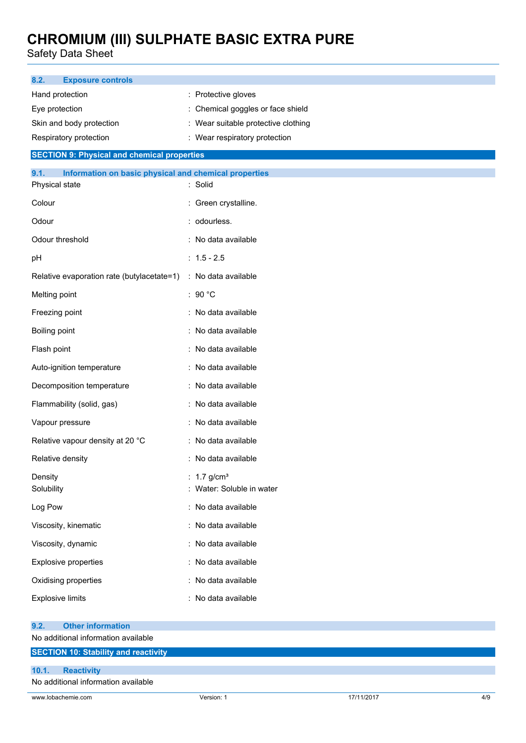| 8.2.<br><b>Exposure controls</b>                                                |                                                        |            |     |
|---------------------------------------------------------------------------------|--------------------------------------------------------|------------|-----|
| Hand protection                                                                 | : Protective gloves                                    |            |     |
| Eye protection                                                                  | : Chemical goggles or face shield                      |            |     |
| Skin and body protection                                                        | : Wear suitable protective clothing                    |            |     |
| Respiratory protection                                                          | : Wear respiratory protection                          |            |     |
| <b>SECTION 9: Physical and chemical properties</b>                              |                                                        |            |     |
| 9.1.<br>Information on basic physical and chemical properties<br>Physical state | : Solid                                                |            |     |
| Colour                                                                          | : Green crystalline.                                   |            |     |
| Odour                                                                           | : odourless.                                           |            |     |
| Odour threshold                                                                 | : No data available                                    |            |     |
| pH                                                                              | $: 1.5 - 2.5$                                          |            |     |
| Relative evaporation rate (butylacetate=1)                                      | : No data available                                    |            |     |
| Melting point                                                                   | : 90 $^{\circ}$ C                                      |            |     |
| Freezing point                                                                  | : No data available                                    |            |     |
| Boiling point                                                                   | : No data available                                    |            |     |
| Flash point                                                                     | : No data available                                    |            |     |
| Auto-ignition temperature                                                       | : No data available                                    |            |     |
| Decomposition temperature                                                       | : No data available                                    |            |     |
| Flammability (solid, gas)                                                       | : No data available                                    |            |     |
| Vapour pressure                                                                 | : No data available                                    |            |     |
| Relative vapour density at 20 °C                                                | : No data available                                    |            |     |
| Relative density                                                                | : No data available                                    |            |     |
| Density<br>Solubility                                                           | : $1.7$ g/cm <sup>3</sup><br>: Water: Soluble in water |            |     |
| Log Pow                                                                         | : No data available                                    |            |     |
| Viscosity, kinematic                                                            | : No data available                                    |            |     |
| Viscosity, dynamic                                                              | : No data available                                    |            |     |
| Explosive properties                                                            | : No data available                                    |            |     |
| Oxidising properties                                                            | : No data available                                    |            |     |
| <b>Explosive limits</b>                                                         | : No data available                                    |            |     |
| <b>Other information</b><br>9.2.                                                |                                                        |            |     |
| No additional information available                                             |                                                        |            |     |
| <b>SECTION 10: Stability and reactivity</b>                                     |                                                        |            |     |
| 10.1.<br><b>Reactivity</b><br>No additional information available               |                                                        |            |     |
| www.lobachemie.com                                                              | Version: 1                                             | 17/11/2017 | 4/9 |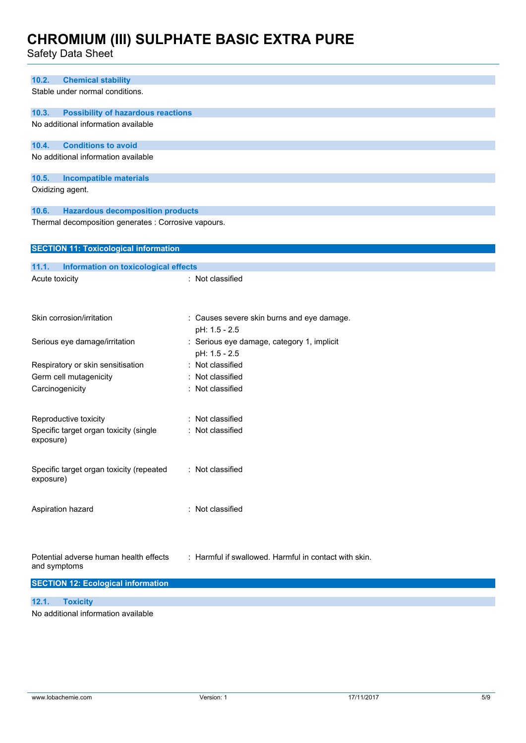| 10.2.<br><b>Chemical stability</b>                     |                                                             |
|--------------------------------------------------------|-------------------------------------------------------------|
| Stable under normal conditions.                        |                                                             |
| 10.3.<br><b>Possibility of hazardous reactions</b>     |                                                             |
| No additional information available                    |                                                             |
| 10.4.<br><b>Conditions to avoid</b>                    |                                                             |
| No additional information available                    |                                                             |
| <b>Incompatible materials</b><br>10.5.                 |                                                             |
| Oxidizing agent.                                       |                                                             |
| <b>Hazardous decomposition products</b><br>10.6.       |                                                             |
| Thermal decomposition generates : Corrosive vapours.   |                                                             |
| <b>SECTION 11: Toxicological information</b>           |                                                             |
| 11.1.<br><b>Information on toxicological effects</b>   |                                                             |
| Acute toxicity                                         | : Not classified                                            |
| Skin corrosion/irritation                              |                                                             |
|                                                        | : Causes severe skin burns and eye damage.<br>pH: 1.5 - 2.5 |
| Serious eye damage/irritation                          | : Serious eye damage, category 1, implicit                  |
|                                                        | pH: 1.5 - 2.5                                               |
| Respiratory or skin sensitisation                      | : Not classified                                            |
| Germ cell mutagenicity                                 | Not classified                                              |
| Carcinogenicity                                        | : Not classified                                            |
|                                                        |                                                             |
| Reproductive toxicity                                  | Not classified                                              |
| Specific target organ toxicity (single<br>exposure)    | : Not classified                                            |
| Specific target organ toxicity (repeated<br>exposure)  | : Not classified                                            |
| Aspiration hazard                                      | : Not classified                                            |
| Potential adverse human health effects<br>and symptoms | : Harmful if swallowed. Harmful in contact with skin.       |
| <b>SECTION 12: Ecological information</b>              |                                                             |
| 12.1.<br><b>Toxicity</b>                               |                                                             |
| No additional information available                    |                                                             |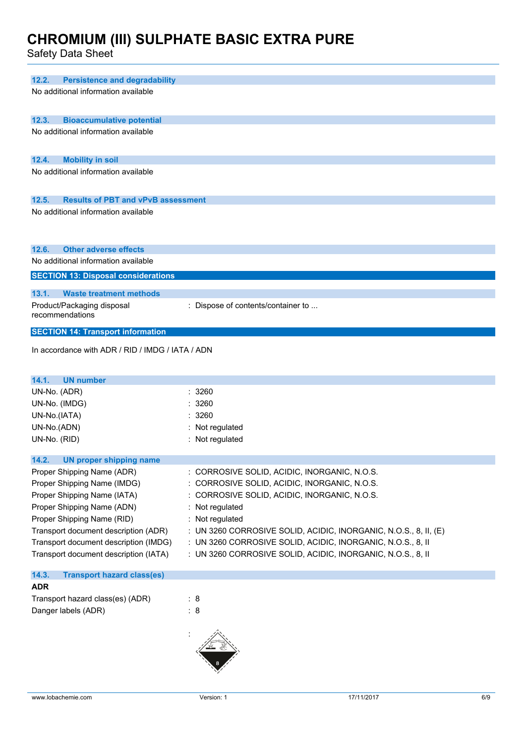| 12.2.<br><b>Persistence and degradability</b>      |                                                                  |
|----------------------------------------------------|------------------------------------------------------------------|
| No additional information available                |                                                                  |
|                                                    |                                                                  |
|                                                    |                                                                  |
| 12.3.<br><b>Bioaccumulative potential</b>          |                                                                  |
| No additional information available                |                                                                  |
|                                                    |                                                                  |
| <b>Mobility in soil</b><br>12.4.                   |                                                                  |
| No additional information available                |                                                                  |
|                                                    |                                                                  |
|                                                    |                                                                  |
| 12.5.<br><b>Results of PBT and vPvB assessment</b> |                                                                  |
| No additional information available                |                                                                  |
|                                                    |                                                                  |
|                                                    |                                                                  |
| <b>Other adverse effects</b><br>12.6.              |                                                                  |
| No additional information available                |                                                                  |
|                                                    |                                                                  |
| <b>SECTION 13: Disposal considerations</b>         |                                                                  |
| 13.1.<br><b>Waste treatment methods</b>            |                                                                  |
|                                                    |                                                                  |
| Product/Packaging disposal<br>recommendations      | : Dispose of contents/container to                               |
|                                                    |                                                                  |
| <b>SECTION 14: Transport information</b>           |                                                                  |
|                                                    |                                                                  |
| In accordance with ADR / RID / IMDG / IATA / ADN   |                                                                  |
|                                                    |                                                                  |
|                                                    |                                                                  |
|                                                    |                                                                  |
| 14.1.<br><b>UN number</b>                          |                                                                  |
| UN-No. (ADR)                                       | : 3260                                                           |
| UN-No. (IMDG)                                      | : 3260                                                           |
| UN-No.(IATA)                                       | : 3260                                                           |
| UN-No.(ADN)                                        | : Not regulated                                                  |
| UN-No. (RID)                                       | : Not regulated                                                  |
|                                                    |                                                                  |
| 14.2.<br><b>UN proper shipping name</b>            |                                                                  |
| Proper Shipping Name (ADR)                         | : CORROSIVE SOLID, ACIDIC, INORGANIC, N.O.S.                     |
| Proper Shipping Name (IMDG)                        | : CORROSIVE SOLID, ACIDIC, INORGANIC, N.O.S.                     |
|                                                    |                                                                  |
| Proper Shipping Name (IATA)                        | : CORROSIVE SOLID, ACIDIC, INORGANIC, N.O.S.                     |
| Proper Shipping Name (ADN)                         | : Not regulated                                                  |
| Proper Shipping Name (RID)                         | : Not regulated                                                  |
| Transport document description (ADR)               | : UN 3260 CORROSIVE SOLID, ACIDIC, INORGANIC, N.O.S., 8, II, (E) |
| Transport document description (IMDG)              | : UN 3260 CORROSIVE SOLID, ACIDIC, INORGANIC, N.O.S., 8, II      |
| Transport document description (IATA)              | : UN 3260 CORROSIVE SOLID, ACIDIC, INORGANIC, N.O.S., 8, II      |
|                                                    |                                                                  |
| 14.3.<br><b>Transport hazard class(es)</b>         |                                                                  |
| <b>ADR</b>                                         |                                                                  |
| Transport hazard class(es) (ADR)                   | : 8                                                              |
| Danger labels (ADR)                                | $\therefore$ 8                                                   |
|                                                    |                                                                  |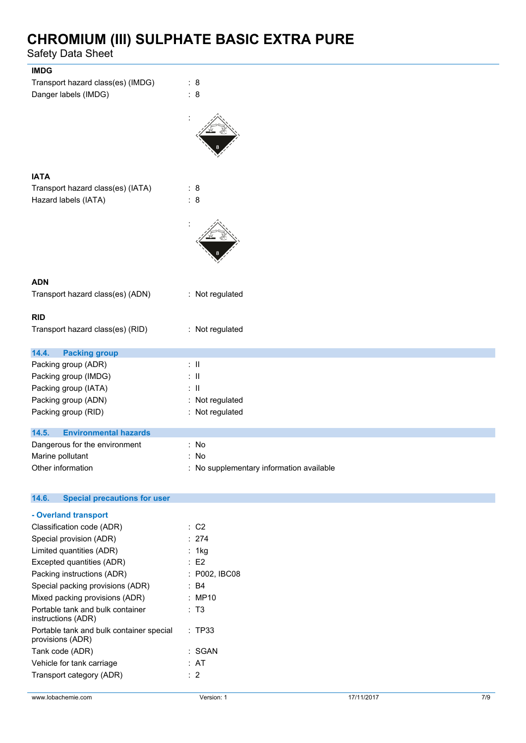| <b>IMDG</b>                                  |                                          |
|----------------------------------------------|------------------------------------------|
| Transport hazard class(es) (IMDG)            | : 8                                      |
| Danger labels (IMDG)                         | $\therefore$ 8                           |
|                                              |                                          |
|                                              |                                          |
| <b>IATA</b>                                  |                                          |
| Transport hazard class(es) (IATA)            | : 8                                      |
| Hazard labels (IATA)                         | : 8                                      |
|                                              |                                          |
|                                              |                                          |
| <b>ADN</b>                                   |                                          |
| Transport hazard class(es) (ADN)             | : Not regulated                          |
| <b>RID</b>                                   |                                          |
| Transport hazard class(es) (RID)             | : Not regulated                          |
| 14.4.<br><b>Packing group</b>                |                                          |
| Packing group (ADR)                          | $\therefore$ $\blacksquare$              |
| Packing group (IMDG)                         | : II                                     |
| Packing group (IATA)                         | $\therefore$ $\parallel$                 |
| Packing group (ADN)                          | : Not regulated                          |
| Packing group (RID)                          | : Not regulated                          |
| 14.5.<br><b>Environmental hazards</b>        |                                          |
| Dangerous for the environment                | : No                                     |
| Marine pollutant                             | : No                                     |
| Other information                            | : No supplementary information available |
|                                              |                                          |
| 14.6.<br><b>Special precautions for user</b> |                                          |

| - Overland transport                                         |               |
|--------------------------------------------------------------|---------------|
| Classification code (ADR)                                    | : C2          |
| Special provision (ADR)                                      | : 274         |
| Limited quantities (ADR)                                     | : 1kg         |
| Excepted quantities (ADR)                                    | E2            |
| Packing instructions (ADR)                                   | : P002, IBC08 |
| Special packing provisions (ADR)                             | : R4          |
| Mixed packing provisions (ADR)                               | : MP10        |
| Portable tank and bulk container<br>instructions (ADR)       | : T3          |
| Portable tank and bulk container special<br>provisions (ADR) | : TP33        |
| Tank code (ADR)                                              | : SGAN        |
| Vehicle for tank carriage                                    | : AT          |
| Transport category (ADR)                                     | : 2           |
|                                                              |               |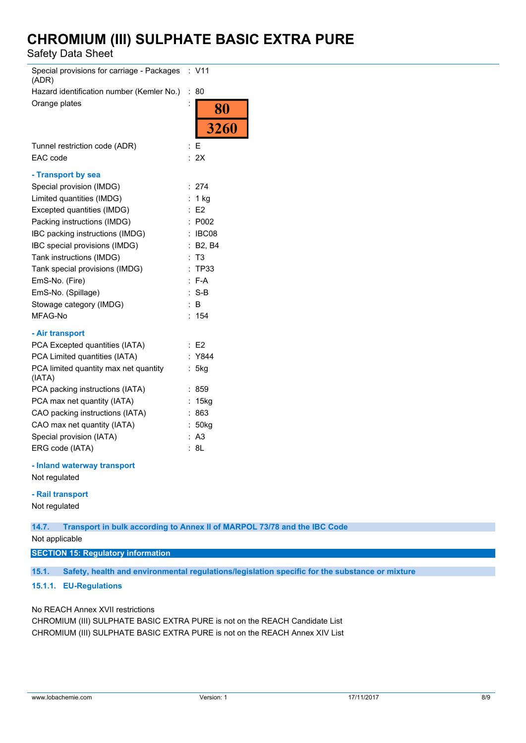Safety Data Sheet

| Special provisions for carriage - Packages<br>(ADR) |                      | : V11                    |
|-----------------------------------------------------|----------------------|--------------------------|
| Hazard identification number (Kemler No.)           | $\ddot{\phantom{a}}$ | 80                       |
| Orange plates                                       | $\ddot{\phantom{a}}$ | $\overline{\textbf{80}}$ |
|                                                     |                      | 3260                     |
| Tunnel restriction code (ADR)                       | ÷                    | Е                        |
| EAC code                                            |                      | : 2X                     |
| - Transport by sea                                  |                      |                          |
| Special provision (IMDG)                            | $\ddot{\phantom{0}}$ | 274                      |
| Limited quantities (IMDG)                           |                      | 1 kg                     |
| Excepted quantities (IMDG)                          |                      | E2                       |
| Packing instructions (IMDG)                         |                      | P002                     |
| IBC packing instructions (IMDG)                     |                      | IBC08                    |
| IBC special provisions (IMDG)                       | $\ddot{\phantom{a}}$ | <b>B2, B4</b>            |
| Tank instructions (IMDG)                            | ÷                    | T <sub>3</sub>           |
| Tank special provisions (IMDG)                      | $\ddot{\phantom{0}}$ | TP33                     |
| EmS-No. (Fire)                                      |                      | : F-A                    |
| EmS-No. (Spillage)                                  | ÷                    | $S-B$                    |
| Stowage category (IMDG)                             |                      | B                        |
| MFAG-No                                             |                      | 154                      |
| - Air transport                                     |                      |                          |
| PCA Excepted quantities (IATA)                      |                      | : E2                     |
| PCA Limited quantities (IATA)                       |                      | Y844                     |
| PCA limited quantity max net quantity<br>(IATA)     |                      | 5kg                      |
| PCA packing instructions (IATA)                     |                      | 859                      |
| PCA max net quantity (IATA)                         | ÷                    | 15kg                     |
| CAO packing instructions (IATA)                     |                      | 863                      |
| CAO max net quantity (IATA)                         |                      | 50kg                     |
| Special provision (IATA)                            |                      | A <sub>3</sub>           |
| ERG code (IATA)                                     |                      | 8L                       |
| - Inland waterway transport                         |                      |                          |

Not regulated

#### **- Rail transport**

Not regulated

**14.7. Transport in bulk according to Annex II of MARPOL 73/78 and the IBC Code**

Not applicable

**SECTION 15: Regulatory information**

**15.1. Safety, health and environmental regulations/legislation specific for the substance or mixture**

## **15.1.1. EU-Regulations**

No REACH Annex XVII restrictions

CHROMIUM (III) SULPHATE BASIC EXTRA PURE is not on the REACH Candidate List CHROMIUM (III) SULPHATE BASIC EXTRA PURE is not on the REACH Annex XIV List